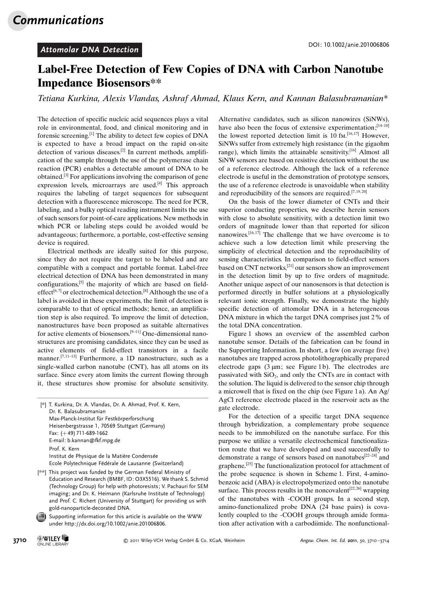## Attomolar DNA Detection **DOI: 10.1002/anie.201006806**

## Label-Free Detection of Few Copies of DNA with Carbon Nanotube Impedance Biosensors\*\*

Tetiana Kurkina, Alexis Vlandas, Ashraf Ahmad, Klaus Kern, and Kannan Balasubramanian\*

The detection of specific nucleic acid sequences plays a vital role in environmental, food, and clinical monitoring and in forensic screening.[1] The ability to detect few copies of DNA is expected to have a broad impact on the rapid on-site detection of various diseases.[2] In current methods, amplification of the sample through the use of the polymerase chain reaction (PCR) enables a detectable amount of DNA to be obtained.[3] For applications involving the comparison of gene expression levels, microarrays are used. $[4]$  This approach requires the labeling of target sequences for subsequent detection with a fluorescence microscope. The need for PCR, labeling, and a bulky optical reading instrument limits the use of such sensors for point-of-care applications. New methods in which PCR or labeling steps could be avoided would be advantageous; furthermore, a portable, cost-effective sensing device is required.

Electrical methods are ideally suited for this purpose, since they do not require the target to be labeled and are compatible with a compact and portable format. Label-free electrical detection of DNA has been demonstrated in many configurations,[5] the majority of which are based on fieldeffect<sup>[6,7]</sup> or electrochemical detection.<sup>[8]</sup> Although the use of a label is avoided in these experiments, the limit of detection is comparable to that of optical methods; hence, an amplification step is also required. To improve the limit of detection, nanostructures have been proposed as suitable alternatives for active elements of biosensors.[9–11] One-dimensional nanostructures are promising candidates, since they can be used as active elements of field-effect transistors in a facile manner.<sup>[7,11-13]</sup> Furthermore, a 1D nanostructure, such as a single-walled carbon nanotube (CNT), has all atoms on its surface. Since every atom limits the current flowing through it, these structures show promise for absolute sensitivity.

[\*] T. Kurkina, Dr. A. Vlandas, Dr. A. Ahmad, Prof. K. Kern, Dr. K. Balasubramanian Max-Planck-Institut für Festkörperforschung Heisenbergstrasse 1, 70569 Stuttgart (Germany) Fax:  $(+49)$  711-689-1662 E-mail: b.kannan@fkf.mpg.de Prof. K. Kern Institut de Physique de la Matière Condensée Ecole Polytechnique Fédérale de Lausanne (Switzerland)

- [\*\*] This project was funded by the German Federal Ministry of Education and Research (BMBF, ID: O3X5516). We thank S. Schmid (Technology Group) for help with photoresists; V. Pachauri for SEM imaging; and Dr. K. Heimann (Karlsruhe Institute of Technology) and Prof. C. Richert (University of Stuttgart) for providing us with gold-nanoparticle-decorated DNA.
- Supporting information for this article is available on the WWW under<http://dx.doi.org/10.1002/anie.201006806>.

Alternative candidates, such as silicon nanowires (SiNWs), have also been the focus of extensive experimentation;<sup>[14–18]</sup> the lowest reported detection limit is 10 fm.<sup>[16,17]</sup> However, SiNWs suffer from extremely high resistance (in the gigaohm range), which limits the attainable sensitivity.<sup>[16]</sup> Almost all SiNW sensors are based on resistive detection without the use of a reference electrode. Although the lack of a reference electrode is useful in the demonstration of prototype sensors, the use of a reference electrode is unavoidable when stability and reproducibility of the sensors are required.<sup>[7,19,20]</sup>

On the basis of the lower diameter of CNTs and their superior conducting properties, we describe herein sensors with close to absolute sensitivity, with a detection limit two orders of magnitude lower than that reported for silicon nanowires.<sup>[16,17]</sup> The challenge that we have overcome is to achieve such a low detection limit while preserving the simplicity of electrical detection and the reproducibility of sensing characteristics. In comparison to field-effect sensors based on CNT networks,[21] our sensors show an improvement in the detection limit by up to five orders of magnitude. Another unique aspect of our nanosensors is that detection is performed directly in buffer solutions at a physiologically relevant ionic strength. Finally, we demonstrate the highly specific detection of attomolar DNA in a heterogeneous DNA mixture in which the target DNA comprises just 2% of the total DNA concentration.

Figure 1 shows an overview of the assembled carbon nanotube sensor. Details of the fabrication can be found in the Supporting Information. In short, a few (on average five) nanotubes are trapped across photolithographically prepared electrode gaps  $(3 \mu m)$ ; see Figure 1b). The electrodes are passivated with  $SiO<sub>2</sub>$ , and only the CNTs are in contact with the solution. The liquid is delivered to the sensor chip through a microwell that is fixed on the chip (see Figure 1 a). An Ag/ AgCl reference electrode placed in the reservoir acts as the gate electrode.

For the detection of a specific target DNA sequence through hybridization, a complementary probe sequence needs to be immobilized on the nanotube surface. For this purpose we utilize a versatile electrochemical functionalization route that we have developed and used successfully to demonstrate a range of sensors based on nanotubes[22–24] and graphene.<sup>[25]</sup> The functionalization protocol for attachment of the probe sequence is shown in Scheme 1. First, 4-aminobenzoic acid (ABA) is electropolymerized onto the nanotube surface. This process results in the noncovalent<sup>[22,26]</sup> wrapping of the nanotubes with -COOH groups. In a second step, amino-functionalized probe DNA (24 base pairs) is covalently coupled to the -COOH groups through amide formation after activation with a carbodiimide. The nonfunctional-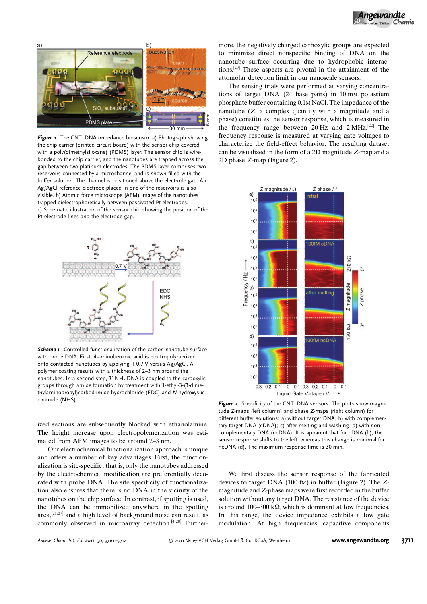

Figure 1. The CNT-DNA impedance biosensor. a) Photograph showing the chip carrier (printed circuit board) with the sensor chip covered with a poly(dimethylsiloxane) (PDMS) layer. The sensor chip is wirebonded to the chip carrier, and the nanotubes are trapped across the gap between two platinum electrodes. The PDMS layer comprises two reservoirs connected by a microchannel and is shown filled with the buffer solution. The channel is positioned above the electrode gap. An Ag/AgCl reference electrode placed in one of the reservoirs is also visible. b) Atomic force microscope (AFM) image of the nanotubes trapped dielectrophoretically between passivated Pt electrodes. c) Schematic illustration of the sensor chip showing the position of the Pt electrode lines and the electrode gap.



Scheme 1. Controlled functionalization of the carbon nanotube surface with probe DNA. First, 4-aminobenzoic acid is electropolymerized onto contacted nanotubes by applying +0.7 V versus Ag/AgCl. A polymer coating results with a thickness of 2–3 nm around the nanotubes. In a second step,  $3'$ -NH<sub>2</sub>-DNA is coupled to the carboxylic groups through amide formation by treatment with 1-ethyl-3-(3-dimethylaminopropyl)carbodiimide hydrochloride (EDC) and N-hydroxysuccinimide (NHS).

ized sections are subsequently blocked with ethanolamine. The height increase upon electropolymerization was estimated from AFM images to be around 2–3 nm.

Our electrochemical functionalization approach is unique and offers a number of key advantages. First, the functionalization is site-specific; that is, only the nanotubes addressed by the electrochemical modification are preferentially decorated with probe DNA. The site specificity of functionalization also ensures that there is no DNA in the vicinity of the nanotubes on the chip surface. In contrast, if spotting is used, the DNA can be immobilized anywhere in the spotting area, $[21, 27]$  and a high level of background noise can result, as commonly observed in microarray detection. $[4, 28]$  Further-

more, the negatively charged carboxylic groups are expected to minimize direct nonspecific binding of DNA on the nanotube surface occurring due to hydrophobic interactions.[29] These aspects are pivotal in the attainment of the attomolar detection limit in our nanoscale sensors.

The sensing trials were performed at varying concentrations of target DNA (24 base pairs) in 10 mm potassium phosphate buffer containing 0.1m NaCl. The impedance of the nanotube  $(Z, a$  complex quantity with a magnitude and a phase) constitutes the sensor response, which is measured in the frequency range between  $20 \text{ Hz}$  and  $2 \text{ MHz}^{[22]}$  The frequency response is measured at varying gate voltages to characterize the field-effect behavior. The resulting dataset can be visualized in the form of a 2D magnitude Z-map and a 2D phase Z-map (Figure 2).



Figure 2. Specificity of the CNT-DNA sensors. The plots show magnitude Z-maps (left column) and phase Z-maps (right column) for different buffer solutions: a) without target DNA; b) with complementary target DNA (cDNA); c) after melting and washing; d) with noncomplementary DNA (ncDNA). It is apparent that for cDNA (b), the sensor response shifts to the left, whereas this change is minimal for ncDNA (d). The maximum response time is 30 min.

We first discuss the sensor response of the fabricated devices to target DNA (100 fm) in buffer (Figure 2). The Zmagnitude and Z-phase maps were first recorded in the buffer solution without any target DNA. The resistance of the device is around  $100-300$  k $\Omega$ , which is dominant at low frequencies. In this range, the device impedance exhibits a low gate modulation. At high frequencies, capacitive components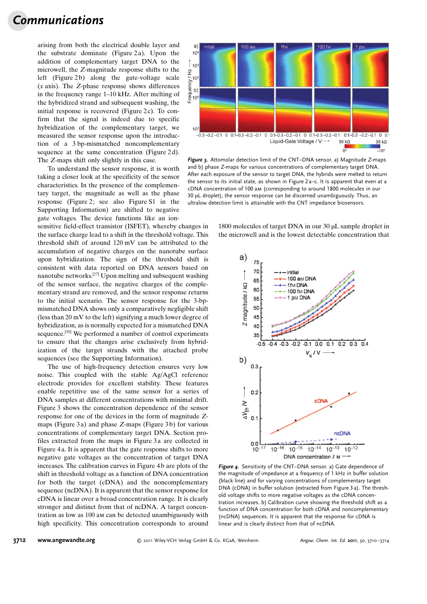## Communications

arising from both the electrical double layer and the substrate dominate (Figure 2 a). Upon the addition of complementary target DNA to the microwell, the Z-magnitude response shifts to the left (Figure 2b) along the gate-voltage scale  $(x \text{ axis})$ . The Z-phase response shows differences in the frequency range 1–10 kHz. After melting of the hybridized strand and subsequent washing, the initial response is recovered (Figure 2c). To confirm that the signal is indeed due to specific hybridization of the complementary target, we measured the sensor response upon the introduction of a 3 bp-mismatched noncomplementary sequence at the same concentration (Figure 2d). The Z-maps shift only slightly in this case.

To understand the sensor response, it is worth taking a closer look at the specificity of the sensor characteristics. In the presence of the complementary target, the magnitude as well as the phase response (Figure 2; see also Figure S1 in the Supporting Information) are shifted to negative gate voltages. The device functions like an ion-

sensitive field-effect transistor (ISFET), whereby changes in the surface charge lead to a shift in the threshold voltage. This threshold shift of around 120 mV can be attributed to the accumulation of negative charges on the nanotube surface upon hybridization. The sign of the threshold shift is consistent with data reported on DNA sensors based on nanotube networks.[27] Upon melting and subsequent washing of the sensor surface, the negative charges of the complementary strand are removed, and the sensor response returns to the initial scenario. The sensor response for the 3-bpmismatched DNA shows only a comparatively negligible shift (less than 20 mV to the left) signifying a much lower degree of hybridization, as is normally expected for a mismatched DNA sequence.[30] We performed a number of control experiments to ensure that the changes arise exclusively from hybridization of the target strands with the attached probe sequences (see the Supporting Information).

The use of high-frequency detection ensures very low noise. This coupled with the stable Ag/AgCl reference electrode provides for excellent stability. These features enable repetitive use of the same sensor for a series of DNA samples at different concentrations with minimal drift. Figure 3 shows the concentration dependence of the sensor response for one of the devices in the form of magnitude Zmaps (Figure 3a) and phase Z-maps (Figure 3b) for various concentrations of complementary target DNA. Section profiles extracted from the maps in Figure 3a are collected in Figure 4 a. It is apparent that the gate response shifts to more negative gate voltages as the concentration of target DNA increases. The calibration curves in Figure 4 b are plots of the shift in threshold voltage as a function of DNA concentration for both the target (cDNA) and the noncomplementary sequence (ncDNA). It is apparent that the sensor response for cDNA is linear over a broad concentration range. It is clearly stronger and distinct from that of ncDNA. A target concentration as low as 100 am can be detected unambiguously with high specificity. This concentration corresponds to around



Figure 3. Attomolar detection limit of the CNT-DNA sensor. a) Magnitude Z-maps and b) phase Z-maps for various concentrations of complementary target DNA. After each exposure of the sensor to target DNA, the hybrids were melted to return the sensor to its initial state, as shown in Figure 2 a–c. It is apparent that even at a cDNA concentration of 100 am (corresponding to around 1800 molecules in our 30 mL droplet), the sensor response can be discerned unambiguously. Thus, an ultralow detection limit is attainable with the CNT impedance biosensors.

1800 molecules of target DNA in our 30 µL sample droplet in the microwell and is the lowest detectable concentration that



Figure 4. Sensitivity of the CNT-DNA sensor. a) Gate dependence of the magnitude of impedance at a frequency of 1 kHz in buffer solution (black line) and for varying concentrations of complementary target DNA (cDNA) in buffer solution (extracted from Figure 3 a). The threshold voltage shifts to more negative voltages as the cDNA concentration increases. b) Calibration curve showing the threshold shift as a function of DNA concentration for both cDNA and noncomplementary (ncDNA) sequences. It is apparent that the response for cDNA is linear and is clearly distinct from that of ncDNA.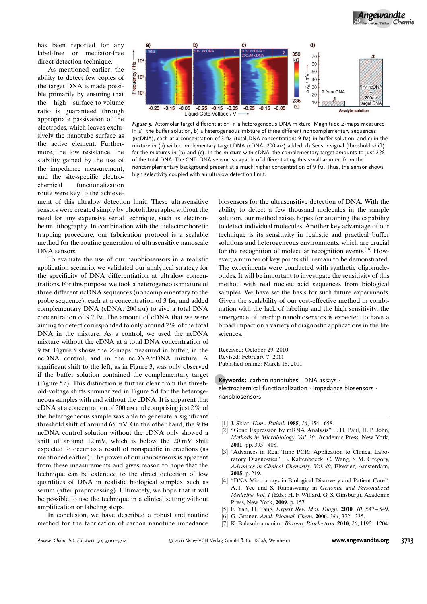has been reported for any label-free or mediator-free direct detection technique.

As mentioned earlier, the ability to detect few copies of the target DNA is made possible primarily by ensuring that the high surface-to-volume ratio is guaranteed through appropriate passivation of the electrodes, which leaves exclusively the nanotube surface as the active element. Furthermore, the low resistance, the stability gained by the use of the impedance measurement, and the site-specific electrochemical functionalization route were key to the achieve-



Figure 5. Attomolar target differentiation in a heterogeneous DNA mixture. Magnitude Z-maps measured in a) the buffer solution, b) a heterogeneous mixture of three different noncomplementary sequences (ncDNA), each at a concentration of 3 fm (total DNA concentration: 9 fm) in buffer solution, and c) in the mixture in (b) with complementary target DNA (cDNA; 200 am) added. d) Sensor signal (threshold shift) for the mixtures in (b) and (c). In the mixture with cDNA, the complementary target amounts to just 2% of the total DNA. The CNT–DNA sensor is capable of differentiating this small amount from the noncomplementary background present at a much higher concentration of 9 fm. Thus, the sensor shows high selectivity coupled with an ultralow detection limit.

ment of this ultralow detection limit. These ultrasensitive sensors were created simply by photolithography, without the need for any expensive serial technique, such as electronbeam lithography. In combination with the dielectrophoretic trapping procedure, our fabrication protocol is a scalable method for the routine generation of ultrasensitive nanoscale DNA sensors.

To evaluate the use of our nanobiosensors in a realistic application scenario, we validated our analytical strategy for the specificity of DNA differentiation at ultralow concentrations. For this purpose, we took a heterogeneous mixture of three different ncDNA sequences (noncomplementary to the probe sequence), each at a concentration of 3 fm, and added complementary DNA (cDNA; 200 am) to give a total DNA concentration of 9.2 fm. The amount of cDNA that we were aiming to detect corresponded to only around 2% of the total DNA in the mixture. As a control, we used the ncDNA mixture without the cDNA at a total DNA concentration of 9 fm. Figure 5 shows the Z-maps measured in buffer, in the ncDNA control, and in the ncDNA/cDNA mixture. A significant shift to the left, as in Figure 3, was only observed if the buffer solution contained the complementary target (Figure 5 c). This distinction is further clear from the threshold-voltage shifts summarized in Figure 5 d for the heterogeneous samples with and without the cDNA. It is apparent that cDNA at a concentration of 200 am and comprising just 2% of the heterogeneous sample was able to generate a significant threshold shift of around 65 mV. On the other hand, the 9 fm ncDNA control solution without the cDNA only showed a shift of around 12 mV, which is below the 20 mV shift expected to occur as a result of nonspecific interactions (as mentioned earlier). The power of our nanosensors is apparent from these measurements and gives reason to hope that the technique can be extended to the direct detection of low quantities of DNA in realistic biological samples, such as serum (after preprocessing). Ultimately, we hope that it will be possible to use the technique in a clinical setting without amplification or labeling steps.

In conclusion, we have described a robust and routine method for the fabrication of carbon nanotube impedance

biosensors for the ultrasensitive detection of DNA. With the ability to detect a few thousand molecules in the sample solution, our method raises hopes for attaining the capability to detect individual molecules. Another key advantage of our technique is its sensitivity in realistic and practical buffer solutions and heterogeneous environments, which are crucial for the recognition of molecular recognition events.[18] However, a number of key points still remain to be demonstrated. The experiments were conducted with synthetic oligonucleotides. It will be important to investigate the sensitivity of this method with real nucleic acid sequences from biological samples. We have set the basis for such future experiments. Given the scalability of our cost-effective method in combination with the lack of labeling and the high sensitivity, the emergence of on-chip nanobiosensors is expected to have a broad impact on a variety of diagnostic applications in the life sciences.

Received: October 29, 2010 Revised: February 7, 2011 Published online: March 18, 2011

Keywords: carbon nanotubes · DNA assays · electrochemical functionalization · impedance biosensors · nanobiosensors

- [1] J. Sklar, *[Hum. Pathol.](http://dx.doi.org/10.1016/S0046-8177(85)80147-7)* **1985**, 16, 654-658.
- [2] "Gene Expression by mRNA Analysis": J. H. Paul, H. P. John, Methods in Microbiology, Vol. 30, Academic Press, New York, 2001, pp. 395 – 408.
- [3] "Advances in Real Time PCR: Application to Clinical Laboratory Diagnostics": B. Kaltenboeck, C. Wang, S. M. Gregory, Advances in Clinical Chemistry, Vol. 40, Elsevier, Amsterdam, 2005, p. 219.
- [4] "DNA Microarrays in Biological Discovery and Patient Care": A. J. Yee and S. Ramaswamy in Genomic and Personalized Medicine, Vol. 1 (Eds.: H. F. Willard, G. S. Ginsburg), Academic Press, New York, 2009, p. 157.
- [5] F. Yan, H. Tang, *[Expert Rev. Mol. Diagn.](http://dx.doi.org/10.1586/erm.10.50)* **2010**, *10*, 547-549.
- [6] G. Gruner, Anal. Bioanal. Chem. 2006, 384, 322 335.
- [7] K. Balasubramanian, *Biosens. Bioelectron*, **2010**, 26, 1195 1204.